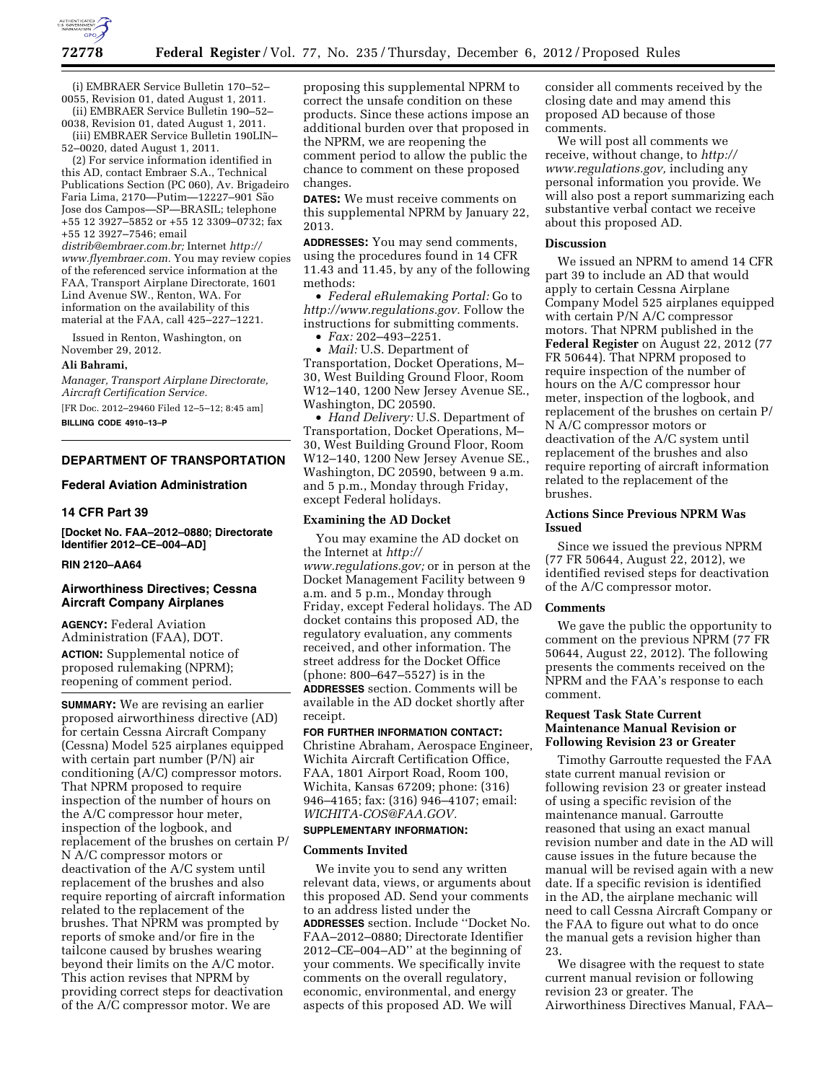

(i) EMBRAER Service Bulletin 170–52– 0055, Revision 01, dated August 1, 2011.

(ii) EMBRAER Service Bulletin 190–52– 0038, Revision 01, dated August 1, 2011.

(iii) EMBRAER Service Bulletin 190LIN– 52–0020, dated August 1, 2011.

(2) For service information identified in this AD, contact Embraer S.A., Technical Publications Section (PC 060), Av. Brigadeiro Faria Lima, 2170—Putim—12227-901 São Jose dos Campos—SP—BRASIL; telephone +55 12 3927–5852 or +55 12 3309–0732; fax +55 12 3927–7546; email

*[distrib@embraer.com.br;](mailto:distrib@embraer.com.br)* Internet *[http://](http://www.flyembraer.com)  [www.flyembraer.com.](http://www.flyembraer.com)* You may review copies of the referenced service information at the FAA, Transport Airplane Directorate, 1601 Lind Avenue SW., Renton, WA. For information on the availability of this material at the FAA, call 425–227–1221.

Issued in Renton, Washington, on November 29, 2012.

### **Ali Bahrami,**

*Manager, Transport Airplane Directorate, Aircraft Certification Service.* 

[FR Doc. 2012–29460 Filed 12–5–12; 8:45 am] **BILLING CODE 4910–13–P** 

### **DEPARTMENT OF TRANSPORTATION**

#### **Federal Aviation Administration**

## **14 CFR Part 39**

**[Docket No. FAA–2012–0880; Directorate Identifier 2012–CE–004–AD]** 

## **RIN 2120–AA64**

### **Airworthiness Directives; Cessna Aircraft Company Airplanes**

**AGENCY:** Federal Aviation Administration (FAA), DOT. **ACTION:** Supplemental notice of proposed rulemaking (NPRM); reopening of comment period.

**SUMMARY:** We are revising an earlier proposed airworthiness directive (AD) for certain Cessna Aircraft Company (Cessna) Model 525 airplanes equipped with certain part number (P/N) air conditioning (A/C) compressor motors. That NPRM proposed to require inspection of the number of hours on the A/C compressor hour meter, inspection of the logbook, and replacement of the brushes on certain P/ N A/C compressor motors or deactivation of the A/C system until replacement of the brushes and also require reporting of aircraft information related to the replacement of the brushes. That NPRM was prompted by reports of smoke and/or fire in the tailcone caused by brushes wearing beyond their limits on the A/C motor. This action revises that NPRM by providing correct steps for deactivation of the A/C compressor motor. We are

proposing this supplemental NPRM to correct the unsafe condition on these products. Since these actions impose an additional burden over that proposed in the NPRM, we are reopening the comment period to allow the public the chance to comment on these proposed changes.

**DATES:** We must receive comments on this supplemental NPRM by January 22, 2013.

**ADDRESSES:** You may send comments, using the procedures found in 14 CFR 11.43 and 11.45, by any of the following methods:

• *Federal eRulemaking Portal:* Go to *[http://www.regulations.gov.](http://www.regulations.gov)* Follow the instructions for submitting comments.

• *Fax:* 202–493–2251.

• *Mail:* U.S. Department of Transportation, Docket Operations, M– 30, West Building Ground Floor, Room W12–140, 1200 New Jersey Avenue SE., Washington, DC 20590.

• *Hand Delivery:* U.S. Department of Transportation, Docket Operations, M– 30, West Building Ground Floor, Room W12–140, 1200 New Jersey Avenue SE., Washington, DC 20590, between 9 a.m. and 5 p.m., Monday through Friday, except Federal holidays.

### **Examining the AD Docket**

You may examine the AD docket on the Internet at *[http://](http://www.regulations.gov)  [www.regulations.gov;](http://www.regulations.gov)* or in person at the Docket Management Facility between 9 a.m. and 5 p.m., Monday through Friday, except Federal holidays. The AD docket contains this proposed AD, the regulatory evaluation, any comments received, and other information. The street address for the Docket Office (phone: 800–647–5527) is in the **ADDRESSES** section. Comments will be available in the AD docket shortly after receipt.

**FOR FURTHER INFORMATION CONTACT:**  Christine Abraham, Aerospace Engineer,

Wichita Aircraft Certification Office, FAA, 1801 Airport Road, Room 100, Wichita, Kansas 67209; phone: (316) 946–4165; fax: (316) 946–4107; email: *[WICHITA-COS@FAA.GOV.](mailto:WICHITA-COS@FAA.GOV)* 

### **SUPPLEMENTARY INFORMATION:**

#### **Comments Invited**

We invite you to send any written relevant data, views, or arguments about this proposed AD. Send your comments to an address listed under the **ADDRESSES** section. Include ''Docket No. FAA–2012–0880; Directorate Identifier 2012–CE–004–AD'' at the beginning of your comments. We specifically invite comments on the overall regulatory, economic, environmental, and energy aspects of this proposed AD. We will

consider all comments received by the closing date and may amend this proposed AD because of those comments.

We will post all comments we receive, without change, to *[http://](http://www.regulations.gov) [www.regulations.gov,](http://www.regulations.gov)* including any personal information you provide. We will also post a report summarizing each substantive verbal contact we receive about this proposed AD.

### **Discussion**

We issued an NPRM to amend 14 CFR part 39 to include an AD that would apply to certain Cessna Airplane Company Model 525 airplanes equipped with certain P/N A/C compressor motors. That NPRM published in the **Federal Register** on August 22, 2012 (77 FR 50644). That NPRM proposed to require inspection of the number of hours on the A/C compressor hour meter, inspection of the logbook, and replacement of the brushes on certain P/ N A/C compressor motors or deactivation of the A/C system until replacement of the brushes and also require reporting of aircraft information related to the replacement of the brushes.

## **Actions Since Previous NPRM Was Issued**

Since we issued the previous NPRM (77 FR 50644, August 22, 2012), we identified revised steps for deactivation of the A/C compressor motor.

#### **Comments**

We gave the public the opportunity to comment on the previous NPRM (77 FR 50644, August 22, 2012). The following presents the comments received on the NPRM and the FAA's response to each comment.

## **Request Task State Current Maintenance Manual Revision or Following Revision 23 or Greater**

Timothy Garroutte requested the FAA state current manual revision or following revision 23 or greater instead of using a specific revision of the maintenance manual. Garroutte reasoned that using an exact manual revision number and date in the AD will cause issues in the future because the manual will be revised again with a new date. If a specific revision is identified in the AD, the airplane mechanic will need to call Cessna Aircraft Company or the FAA to figure out what to do once the manual gets a revision higher than 23.

We disagree with the request to state current manual revision or following revision 23 or greater. The Airworthiness Directives Manual, FAA–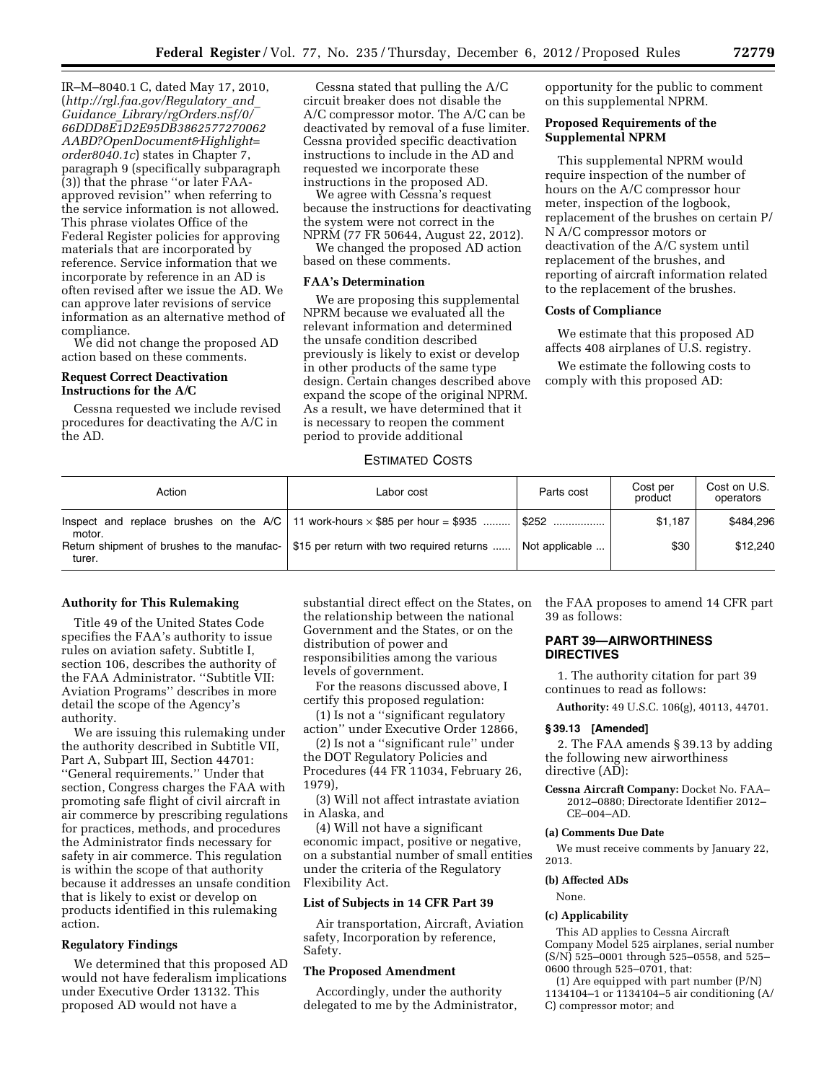IR–M–8040.1 C, dated May 17, 2010, (*[http://rgl.faa.gov/Regulatory](http://rgl.faa.gov/Regulatory_and_Guidance_Library/rgOrders.nsf/0/66DDD8E1D2E95DB3862577270062AABD?OpenDocument&Highlight=order8040.1c)*\_*and*\_ *Guidance*\_*[Library/rgOrders.nsf/0/](http://rgl.faa.gov/Regulatory_and_Guidance_Library/rgOrders.nsf/0/66DDD8E1D2E95DB3862577270062AABD?OpenDocument&Highlight=order8040.1c) [66DDD8E1D2E95DB3862577270062](http://rgl.faa.gov/Regulatory_and_Guidance_Library/rgOrders.nsf/0/66DDD8E1D2E95DB3862577270062AABD?OpenDocument&Highlight=order8040.1c) [AABD?OpenDocument&Highlight=](http://rgl.faa.gov/Regulatory_and_Guidance_Library/rgOrders.nsf/0/66DDD8E1D2E95DB3862577270062AABD?OpenDocument&Highlight=order8040.1c) [order8040.1c](http://rgl.faa.gov/Regulatory_and_Guidance_Library/rgOrders.nsf/0/66DDD8E1D2E95DB3862577270062AABD?OpenDocument&Highlight=order8040.1c)*) states in Chapter 7, paragraph 9 (specifically subparagraph (3)) that the phrase ''or later FAAapproved revision'' when referring to the service information is not allowed. This phrase violates Office of the Federal Register policies for approving materials that are incorporated by reference. Service information that we incorporate by reference in an AD is often revised after we issue the AD. We can approve later revisions of service information as an alternative method of compliance.

We did not change the proposed AD action based on these comments.

### **Request Correct Deactivation Instructions for the A/C**

Cessna requested we include revised procedures for deactivating the A/C in the AD.

Cessna stated that pulling the A/C circuit breaker does not disable the A/C compressor motor. The A/C can be deactivated by removal of a fuse limiter. Cessna provided specific deactivation instructions to include in the AD and requested we incorporate these instructions in the proposed AD.

We agree with Cessna's request because the instructions for deactivating the system were not correct in the NPRM (77 FR 50644, August 22, 2012).

We changed the proposed AD action based on these comments.

### **FAA's Determination**

We are proposing this supplemental NPRM because we evaluated all the relevant information and determined the unsafe condition described previously is likely to exist or develop in other products of the same type design. Certain changes described above expand the scope of the original NPRM. As a result, we have determined that it is necessary to reopen the comment period to provide additional

opportunity for the public to comment on this supplemental NPRM.

# **Proposed Requirements of the Supplemental NPRM**

This supplemental NPRM would require inspection of the number of hours on the A/C compressor hour meter, inspection of the logbook, replacement of the brushes on certain P/ N A/C compressor motors or deactivation of the A/C system until replacement of the brushes, and reporting of aircraft information related to the replacement of the brushes.

## **Costs of Compliance**

We estimate that this proposed AD affects 408 airplanes of U.S. registry.

We estimate the following costs to comply with this proposed AD:

### ESTIMATED COSTS

| Action | Labor cost                                                                             | Parts cost        | Cost per<br>product | Cost on U.S.<br>operators |
|--------|----------------------------------------------------------------------------------------|-------------------|---------------------|---------------------------|
| motor. | Inspect and replace brushes on the $A/C$ 11 work-hours $\times$ \$85 per hour = \$935  | $\parallel$ \$252 | \$1.187             | \$484,296                 |
| turer. | Return shipment of brushes to the manufac-   \$15 per return with two required returns | Not applicable    | \$30                | \$12,240                  |

### **Authority for This Rulemaking**

Title 49 of the United States Code specifies the FAA's authority to issue rules on aviation safety. Subtitle I, section 106, describes the authority of the FAA Administrator. ''Subtitle VII: Aviation Programs'' describes in more detail the scope of the Agency's authority.

We are issuing this rulemaking under the authority described in Subtitle VII, Part A, Subpart III, Section 44701: ''General requirements.'' Under that section, Congress charges the FAA with promoting safe flight of civil aircraft in air commerce by prescribing regulations for practices, methods, and procedures the Administrator finds necessary for safety in air commerce. This regulation is within the scope of that authority because it addresses an unsafe condition that is likely to exist or develop on products identified in this rulemaking action.

## **Regulatory Findings**

We determined that this proposed AD would not have federalism implications under Executive Order 13132. This proposed AD would not have a

substantial direct effect on the States, on the relationship between the national Government and the States, or on the distribution of power and responsibilities among the various levels of government.

For the reasons discussed above, I certify this proposed regulation:

(1) Is not a ''significant regulatory action'' under Executive Order 12866,

(2) Is not a ''significant rule'' under the DOT Regulatory Policies and Procedures (44 FR 11034, February 26, 1979),

(3) Will not affect intrastate aviation in Alaska, and

(4) Will not have a significant economic impact, positive or negative, on a substantial number of small entities under the criteria of the Regulatory Flexibility Act.

#### **List of Subjects in 14 CFR Part 39**

Air transportation, Aircraft, Aviation safety, Incorporation by reference, Safety.

### **The Proposed Amendment**

Accordingly, under the authority delegated to me by the Administrator, the FAA proposes to amend 14 CFR part 39 as follows:

## **PART 39—AIRWORTHINESS DIRECTIVES**

1. The authority citation for part 39 continues to read as follows:

**Authority:** 49 U.S.C. 106(g), 40113, 44701.

### **§ 39.13 [Amended]**

2. The FAA amends § 39.13 by adding the following new airworthiness directive (AD):

**Cessna Aircraft Company:** Docket No. FAA– 2012–0880; Directorate Identifier 2012– CE–004–AD.

### **(a) Comments Due Date**

We must receive comments by January 22, 2013.

## **(b) Affected ADs**

#### None.

#### **(c) Applicability**

This AD applies to Cessna Aircraft Company Model 525 airplanes, serial number  $(S/N)$  525–0001 through 525–0558, and 525– 0600 through 525–0701, that:

(1) Are equipped with part number (P/N) 1134104–1 or 1134104–5 air conditioning (A/ C) compressor motor; and